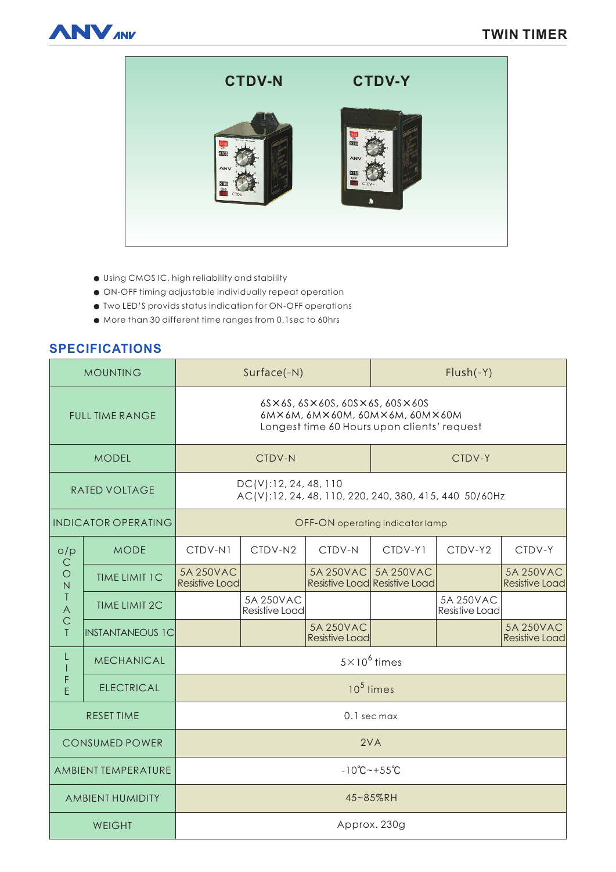



- Using CMOS IC, high reliability and stability
- ON-OFF timing adjustable individually repeat operation
- Two LED'S provids status indication for ON-OFF operations
- $\bullet$  More than 30 different time ranges from 0.1sec to 60hrs

# **SPECIFICATIONS**

| <b>MOUNTING</b>                                                                 |                         | Surface(-N)                                                                                                                                                                               |                             |                                    | $Flush(-Y)$                                |                             |                                    |
|---------------------------------------------------------------------------------|-------------------------|-------------------------------------------------------------------------------------------------------------------------------------------------------------------------------------------|-----------------------------|------------------------------------|--------------------------------------------|-----------------------------|------------------------------------|
| <b>FULL TIME RANGE</b>                                                          |                         | $6S \times 6S$ , $6S \times 60S$ , $60S \times 6S$ , $60S \times 60S$<br>$6M\times 6M$ , $6M\times 60M$ , $60M\times 6M$ , $60M\times 60M$<br>Longest time 60 Hours upon clients' request |                             |                                    |                                            |                             |                                    |
| <b>MODEL</b>                                                                    |                         | CTDV-N                                                                                                                                                                                    |                             |                                    | CTDV-Y                                     |                             |                                    |
| <b>RATED VOLTAGE</b>                                                            |                         | DC(V):12, 24, 48, 110<br>AC(V):12, 24, 48, 110, 220, 240, 380, 415, 440 50/60Hz                                                                                                           |                             |                                    |                                            |                             |                                    |
| <b>INDICATOR OPERATING</b>                                                      |                         | OFF-ON operating indicator lamp                                                                                                                                                           |                             |                                    |                                            |                             |                                    |
| o/p<br>C<br>$\circ$<br>N<br>$\mathsf{T}$<br>$\overline{A}$<br>$\mathsf{C}$<br>T | <b>MODE</b>             | CTDV-N1                                                                                                                                                                                   | CTDV-N2                     | CTDV-N                             | CTDV-Y1                                    | CTDV-Y2                     | CTDV-Y                             |
|                                                                                 | TIME LIMIT 1C           | 5A 250VAC<br>Resistive Load                                                                                                                                                               |                             | 5A 250VAC                          | 5A 250VAC<br>Resistive Load Resistive Load |                             | 5A 250VAC<br><b>Resistive Load</b> |
|                                                                                 | TIME LIMIT 2C           |                                                                                                                                                                                           | 5A 250VAC<br>Resistive Load |                                    |                                            | 5A 250VAC<br>Resistive Load |                                    |
|                                                                                 | <b>INSTANTANEOUS 1C</b> |                                                                                                                                                                                           |                             | 5A 250VAC<br><b>Resistive Load</b> |                                            |                             | 5A 250VAC<br><b>Resistive Load</b> |
| L<br>F<br>F                                                                     | <b>MECHANICAL</b>       | $5 \times 10^6$ times                                                                                                                                                                     |                             |                                    |                                            |                             |                                    |
|                                                                                 | <b>ELECTRICAL</b>       | $105$ times                                                                                                                                                                               |                             |                                    |                                            |                             |                                    |
| <b>RESET TIME</b>                                                               |                         | 0.1 sec max                                                                                                                                                                               |                             |                                    |                                            |                             |                                    |
| <b>CONSUMED POWER</b>                                                           |                         | 2VA                                                                                                                                                                                       |                             |                                    |                                            |                             |                                    |
| AMBIENT TEMPERATURE                                                             |                         | $-10^{\circ}C - +55^{\circ}C$                                                                                                                                                             |                             |                                    |                                            |                             |                                    |
| <b>AMBIENT HUMIDITY</b>                                                         |                         | 45~85%RH                                                                                                                                                                                  |                             |                                    |                                            |                             |                                    |
| <b>WEIGHT</b>                                                                   |                         | Approx. 230g                                                                                                                                                                              |                             |                                    |                                            |                             |                                    |